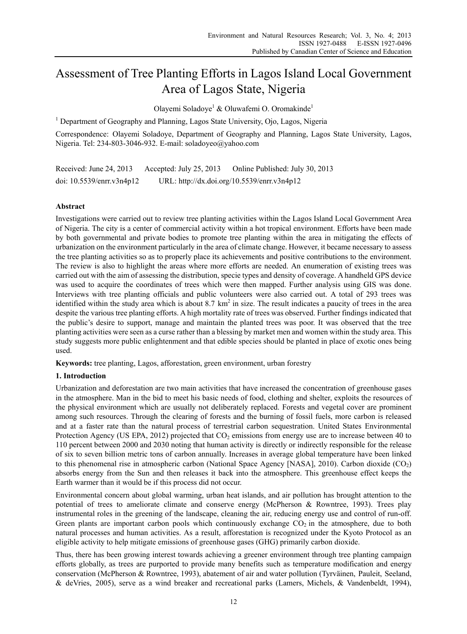# Assessment of Tree Planting Efforts in Lagos Island Local Government Area of Lagos State, Nigeria

Olayemi Soladoye<sup>1</sup> & Oluwafemi O. Oromakinde<sup>1</sup>

<sup>1</sup> Department of Geography and Planning, Lagos State University, Ojo, Lagos, Nigeria

Correspondence: Olayemi Soladoye, Department of Geography and Planning, Lagos State University, Lagos, Nigeria. Tel: 234-803-3046-932. E-mail: soladoyeo@yahoo.com

Received: June 24, 2013 Accepted: July 25, 2013 Online Published: July 30, 2013 doi: 10.5539/enrr.v3n4p12 URL: http://dx.doi.org/10.5539/enrr.v3n4p12

## **Abstract**

Investigations were carried out to review tree planting activities within the Lagos Island Local Government Area of Nigeria. The city is a center of commercial activity within a hot tropical environment. Efforts have been made by both governmental and private bodies to promote tree planting within the area in mitigating the effects of urbanization on the environment particularly in the area of climate change. However, it became necessary to assess the tree planting activities so as to properly place its achievements and positive contributions to the environment. The review is also to highlight the areas where more efforts are needed. An enumeration of existing trees was carried out with the aim of assessing the distribution, specie types and density of coverage. A handheld GPS device was used to acquire the coordinates of trees which were then mapped. Further analysis using GIS was done. Interviews with tree planting officials and public volunteers were also carried out. A total of 293 trees was identified within the study area which is about  $8.7 \text{ km}^2$  in size. The result indicates a paucity of trees in the area despite the various tree planting efforts. A high mortality rate of trees was observed. Further findings indicated that the public's desire to support, manage and maintain the planted trees was poor. It was observed that the tree planting activities were seen as a curse rather than a blessing by market men and women within the study area. This study suggests more public enlightenment and that edible species should be planted in place of exotic ones being used.

**Keywords:** tree planting, Lagos, afforestation, green environment, urban forestry

## **1. Introduction**

Urbanization and deforestation are two main activities that have increased the concentration of greenhouse gases in the atmosphere. Man in the bid to meet his basic needs of food, clothing and shelter, exploits the resources of the physical environment which are usually not deliberately replaced. Forests and vegetal cover are prominent among such resources. Through the clearing of forests and the burning of fossil fuels, more carbon is released and at a faster rate than the natural process of terrestrial carbon sequestration. United States Environmental Protection Agency (US EPA, 2012) projected that  $CO<sub>2</sub>$  emissions from energy use are to increase between 40 to 110 percent between 2000 and 2030 noting that human activity is directly or indirectly responsible for the release of six to seven billion metric tons of carbon annually. Increases in average global temperature have been linked to this phenomenal rise in atmospheric carbon (National Space Agency [NASA], 2010). Carbon dioxide (CO<sub>2</sub>) absorbs energy from the Sun and then releases it back into the atmosphere. This greenhouse effect keeps the Earth warmer than it would be if this process did not occur.

Environmental concern about global warming, urban heat islands, and air pollution has brought attention to the potential of trees to ameliorate climate and conserve energy (McPherson & Rowntree, 1993). Trees play instrumental roles in the greening of the landscape, cleaning the air, reducing energy use and control of run-off. Green plants are important carbon pools which continuously exchange  $CO<sub>2</sub>$  in the atmosphere, due to both natural processes and human activities. As a result, afforestation is recognized under the Kyoto Protocol as an eligible activity to help mitigate emissions of greenhouse gases (GHG) primarily carbon dioxide.

Thus, there has been growing interest towards achieving a greener environment through tree planting campaign efforts globally, as trees are purported to provide many benefits such as temperature modification and energy conservation (McPherson & Rowntree, 1993), abatement of air and water pollution (Tyrväinen, Pauleit, Seeland, & deVries, 2005), serve as a wind breaker and recreational parks (Lamers, Michels, & Vandenbeldt, 1994),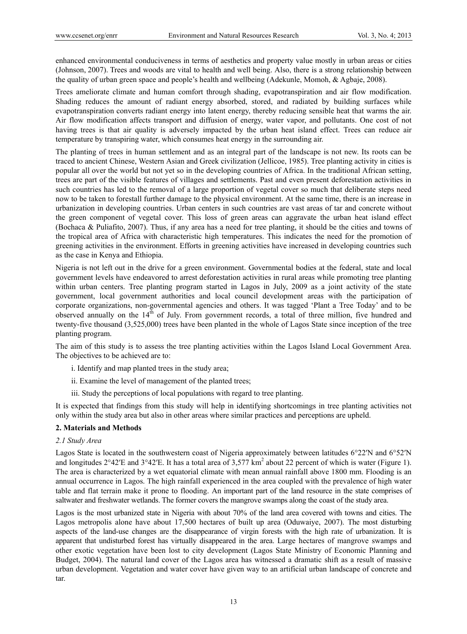enhanced environmental conduciveness in terms of aesthetics and property value mostly in urban areas or cities (Johnson, 2007). Trees and woods are vital to health and well being. Also, there is a strong relationship between the quality of urban green space and people's health and wellbeing (Adekunle, Momoh, & Agbaje, 2008).

Trees ameliorate climate and human comfort through shading, evapotranspiration and air flow modification. Shading reduces the amount of radiant energy absorbed, stored, and radiated by building surfaces while evapotranspiration converts radiant energy into latent energy, thereby reducing sensible heat that warms the air. Air flow modification affects transport and diffusion of energy, water vapor, and pollutants. One cost of not having trees is that air quality is adversely impacted by the urban heat island effect. Trees can reduce air temperature by transpiring water, which consumes heat energy in the surrounding air.

The planting of trees in human settlement and as an integral part of the landscape is not new. Its roots can be traced to ancient Chinese, Western Asian and Greek civilization (Jellicoe, 1985). Tree planting activity in cities is popular all over the world but not yet so in the developing countries of Africa. In the traditional African setting, trees are part of the visible features of villages and settlements. Past and even present deforestation activities in such countries has led to the removal of a large proportion of vegetal cover so much that deliberate steps need now to be taken to forestall further damage to the physical environment. At the same time, there is an increase in urbanization in developing countries. Urban centers in such countries are vast areas of tar and concrete without the green component of vegetal cover. This loss of green areas can aggravate the urban heat island effect (Bochaca & Puliafito, 2007). Thus, if any area has a need for tree planting, it should be the cities and towns of the tropical area of Africa with characteristic high temperatures. This indicates the need for the promotion of greening activities in the environment. Efforts in greening activities have increased in developing countries such as the case in Kenya and Ethiopia.

Nigeria is not left out in the drive for a green environment. Governmental bodies at the federal, state and local government levels have endeavored to arrest deforestation activities in rural areas while promoting tree planting within urban centers. Tree planting program started in Lagos in July, 2009 as a joint activity of the state government, local government authorities and local council development areas with the participation of corporate organizations, non-governmental agencies and others. It was tagged 'Plant a Tree Today' and to be observed annually on the  $14<sup>th</sup>$  of July. From government records, a total of three million, five hundred and twenty-five thousand (3,525,000) trees have been planted in the whole of Lagos State since inception of the tree planting program.

The aim of this study is to assess the tree planting activities within the Lagos Island Local Government Area. The objectives to be achieved are to:

- i. Identify and map planted trees in the study area;
- ii. Examine the level of management of the planted trees;
- iii. Study the perceptions of local populations with regard to tree planting.

It is expected that findings from this study will help in identifying shortcomings in tree planting activities not only within the study area but also in other areas where similar practices and perceptions are upheld.

#### **2. Materials and Methods**

# *2.1 Study Area*

Lagos State is located in the southwestern coast of Nigeria approximately between latitudes 6°22′N and 6°52′N and longitudes  $2^{\circ}42'E$  and  $3^{\circ}42'E$ . It has a total area of  $3,577$  km<sup>2</sup> about 22 percent of which is water (Figure 1). The area is characterized by a wet equatorial climate with mean annual rainfall above 1800 mm. Flooding is an annual occurrence in Lagos. The high rainfall experienced in the area coupled with the prevalence of high water table and flat terrain make it prone to flooding. An important part of the land resource in the state comprises of saltwater and freshwater wetlands. The former covers the mangrove swamps along the coast of the study area.

Lagos is the most urbanized state in Nigeria with about 70% of the land area covered with towns and cities. The Lagos metropolis alone have about 17,500 hectares of built up area (Oduwaiye, 2007). The most disturbing aspects of the land-use changes are the disappearance of virgin forests with the high rate of urbanization. It is apparent that undisturbed forest has virtually disappeared in the area. Large hectares of mangrove swamps and other exotic vegetation have been lost to city development (Lagos State Ministry of Economic Planning and Budget, 2004). The natural land cover of the Lagos area has witnessed a dramatic shift as a result of massive urban development. Vegetation and water cover have given way to an artificial urban landscape of concrete and tar.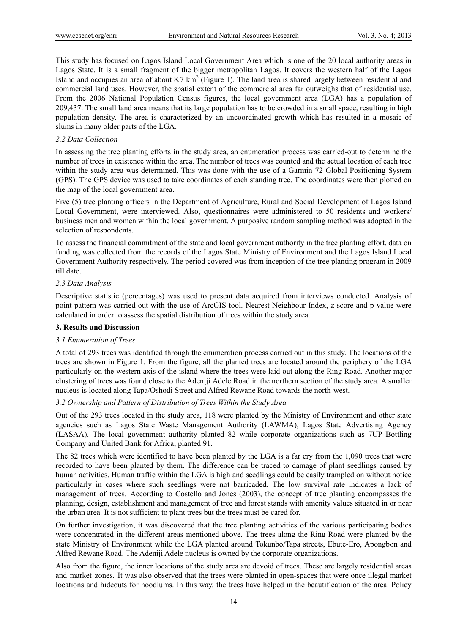This study has focused on Lagos Island Local Government Area which is one of the 20 local authority areas in Lagos State. It is a small fragment of the bigger metropolitan Lagos. It covers the western half of the Lagos Island and occupies an area of about 8.7  $km^2$  (Figure 1). The land area is shared largely between residential and commercial land uses. However, the spatial extent of the commercial area far outweighs that of residential use. From the 2006 National Population Census figures, the local government area (LGA) has a population of 209,437. The small land area means that its large population has to be crowded in a small space, resulting in high population density. The area is characterized by an uncoordinated growth which has resulted in a mosaic of slums in many older parts of the LGA.

## *2.2 Data Collection*

In assessing the tree planting efforts in the study area, an enumeration process was carried-out to determine the number of trees in existence within the area. The number of trees was counted and the actual location of each tree within the study area was determined. This was done with the use of a Garmin 72 Global Positioning System (GPS). The GPS device was used to take coordinates of each standing tree. The coordinates were then plotted on the map of the local government area.

Five (5) tree planting officers in the Department of Agriculture, Rural and Social Development of Lagos Island Local Government, were interviewed. Also, questionnaires were administered to 50 residents and workers/ business men and women within the local government. A purposive random sampling method was adopted in the selection of respondents.

To assess the financial commitment of the state and local government authority in the tree planting effort, data on funding was collected from the records of the Lagos State Ministry of Environment and the Lagos Island Local Government Authority respectively. The period covered was from inception of the tree planting program in 2009 till date.

## *2.3 Data Analysis*

Descriptive statistic (percentages) was used to present data acquired from interviews conducted. Analysis of point pattern was carried out with the use of ArcGIS tool. Nearest Neighbour Index, z-score and p-value were calculated in order to assess the spatial distribution of trees within the study area.

## **3. Results and Discussion**

## *3.1 Enumeration of Trees*

A total of 293 trees was identified through the enumeration process carried out in this study. The locations of the trees are shown in Figure 1. From the figure, all the planted trees are located around the periphery of the LGA particularly on the western axis of the island where the trees were laid out along the Ring Road. Another major clustering of trees was found close to the Adeniji Adele Road in the northern section of the study area. A smaller nucleus is located along Tapa/Oshodi Street and Alfred Rewane Road towards the north-west.

## *3.2 Ownership and Pattern of Distribution of Trees Within the Study Area*

Out of the 293 trees located in the study area, 118 were planted by the Ministry of Environment and other state agencies such as Lagos State Waste Management Authority (LAWMA), Lagos State Advertising Agency (LASAA). The local government authority planted 82 while corporate organizations such as 7UP Bottling Company and United Bank for Africa, planted 91.

The 82 trees which were identified to have been planted by the LGA is a far cry from the 1,090 trees that were recorded to have been planted by them. The difference can be traced to damage of plant seedlings caused by human activities. Human traffic within the LGA is high and seedlings could be easily trampled on without notice particularly in cases where such seedlings were not barricaded. The low survival rate indicates a lack of management of trees. According to Costello and Jones (2003), the concept of tree planting encompasses the planning, design, establishment and management of tree and forest stands with amenity values situated in or near the urban area. It is not sufficient to plant trees but the trees must be cared for.

On further investigation, it was discovered that the tree planting activities of the various participating bodies were concentrated in the different areas mentioned above. The trees along the Ring Road were planted by the state Ministry of Environment while the LGA planted around Tokunbo/Tapa streets, Ebute-Ero, Apongbon and Alfred Rewane Road. The Adeniji Adele nucleus is owned by the corporate organizations.

Also from the figure, the inner locations of the study area are devoid of trees. These are largely residential areas and market zones. It was also observed that the trees were planted in open-spaces that were once illegal market locations and hideouts for hoodlums. In this way, the trees have helped in the beautification of the area. Policy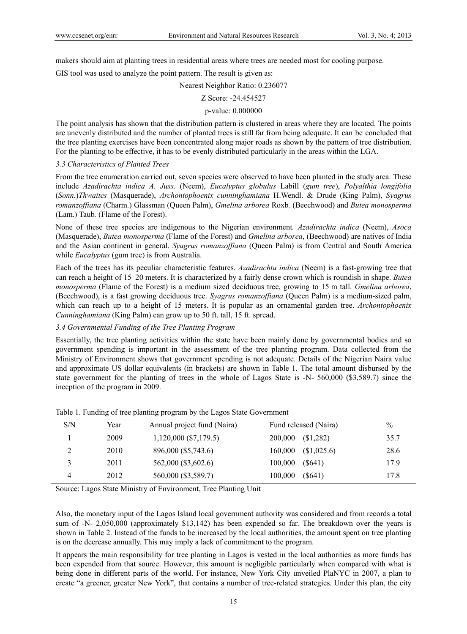makers should aim at planting trees in residential areas where trees are needed most for cooling purpose.

GIS tool was used to analyze the point pattern. The result is given as:

Nearest Neighbor Ratio: 0.236077

#### Z Score: -24.454527

## p-value: 0.000000

The point analysis has shown that the distribution pattern is clustered in areas where they are located. The points are unevenly distributed and the number of planted trees is still far from being adequate. It can be concluded that the tree planting exercises have been concentrated along major roads as shown by the pattern of tree distribution. For the planting to be effective, it has to be evenly distributed particularly in the areas within the LGA.

#### *3.3 Characteristics of Planted Trees*

From the tree enumeration carried out, seven species were observed to have been planted in the study area. These include *Azadirachta indica A. Juss.* (Neem), *Eucalyptus globulus* Labill (*gum tree*), *Polyalthia longifolia*  (*Sonn.*)*Thwaites* (Masquerade), *Archontophoenix cunninghamiana* H.Wendl. & Drude (King Palm), *Syagrus romanzoffiana* (Charm.) Glassman (Queen Palm), *Gmelina arborea* Roxb*.* (Beechwood) and *Butea monosperma*  (Lam.) Taub*.* (Flame of the Forest).

None of these tree species are indigenous to the Nigerian environment*. Azadirachta indica* (Neem), *Asoca* (Masquerade), *Butea monosperma* (Flame of the Forest) and *Gmelina arborea*, (Beechwood) are natives of India and the Asian continent in general. *Syagrus romanzoffiana* (Queen Palm) is from Central and South America while *Eucalyptus* (gum tree) is from Australia.

Each of the trees has its peculiar characteristic features. *Azadirachta indica* (Neem) is a fast-growing tree that can reach a height of 15–20 meters. It is characterized by a fairly dense crown which is roundish in shape. *Butea monosperma* (Flame of the Forest) is a medium sized deciduous tree, growing to 15 m tall. *Gmelina arborea*, (Beechwood), is a fast growing deciduous tree. *Syagrus romanzoffiana* (Queen Palm) is a medium-sized palm, which can reach up to a height of 15 meters. It is popular as an ornamental garden tree. *Archontophoenix Cunninghamiana* (King Palm) can grow up to 50 ft. tall, 15 ft. spread.

#### *3.4 Governmental Funding of the Tree Planting Program*

Essentially, the tree planting activities within the state have been mainly done by governmental bodies and so government spending is important in the assessment of the tree planting program. Data collected from the Ministry of Environment shows that government spending is not adequate. Details of the Nigerian Naira value and approximate US dollar equivalents (in brackets) are shown in Table 1. The total amount disbursed by the state government for the planting of trees in the whole of Lagos State is -N- 560,000 (\$3,589.7) since the inception of the program in 2009.

| S/N | Year | Annual project fund (Naira) | Fund released (Naira)  | $\frac{0}{0}$ |
|-----|------|-----------------------------|------------------------|---------------|
|     | 2009 | 1,120,000 (\$7,179.5)       | 200,000<br>(\$1,282)   | 35.7          |
|     | 2010 | 896,000 (\$5,743.6)         | (\$1,025.6)<br>160,000 | 28.6          |
|     | 2011 | 562,000 (\$3,602.6)         | (S641)<br>100,000      | 17.9          |
| 4   | 2012 | 560,000 (\$3,589.7)         | (S641)<br>100,000      | 17.8          |

Table 1. Funding of tree planting program by the Lagos State Government

Source: Lagos State Ministry of Environment, Tree Planting Unit

Also, the monetary input of the Lagos Island local government authority was considered and from records a total sum of -N- 2,050,000 (approximately \$13,142) has been expended so far. The breakdown over the years is shown in Table 2. Instead of the funds to be increased by the local authorities, the amount spent on tree planting is on the decrease annually. This may imply a lack of commitment to the program.

It appears the main responsibility for tree planting in Lagos is vested in the local authorities as more funds has been expended from that source. However, this amount is negligible particularly when compared with what is being done in different parts of the world. For instance, New York City unveiled PlaNYC in 2007, a plan to create "a greener, greater New York", that contains a number of tree-related strategies. Under this plan, the city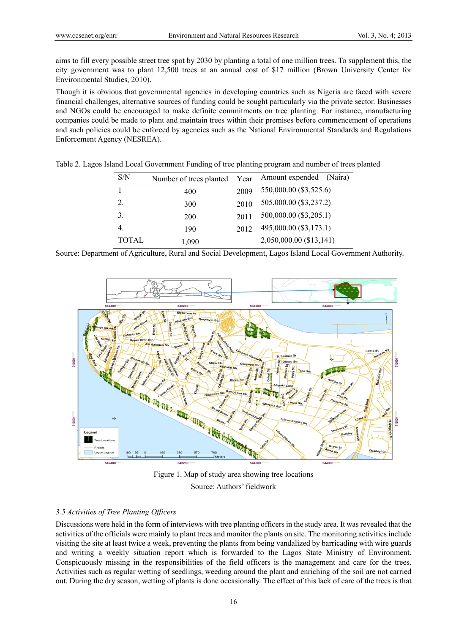aims to fill every possible street tree spot by 2030 by planting a total of one million trees. To supplement this, the city government was to plant 12,500 trees at an annual cost of \$17 million (Brown University Center for Environmental Studies, 2010).

Though it is obvious that governmental agencies in developing countries such as Nigeria are faced with severe financial challenges, alternative sources of funding could be sought particularly via the private sector. Businesses and NGOs could be encouraged to make definite commitments on tree planting. For instance, manufacturing companies could be made to plant and maintain trees within their premises before commencement of operations and such policies could be enforced by agencies such as the National Environmental Standards and Regulations Enforcement Agency (NESREA).

Table 2. Lagos Island Local Government Funding of tree planting program and number of trees planted

| S/N          | Number of trees planted | Year | Amount expended<br>(Naira) |
|--------------|-------------------------|------|----------------------------|
|              | 400                     | 2009 | 550,000.00 (\$3,525.6)     |
| 2.           | 300                     | 2010 | 505,000.00 (\$3,237.2)     |
| 3.           | 200                     | 2011 | 500,000.00 (\$3,205.1)     |
| 4.           | 190                     | 2012 | 495,000.00 (\$3,173.1)     |
| <b>TOTAL</b> | 1,090                   |      | 2,050,000.00 (\$13,141)    |

Source: Department of Agriculture, Rural and Social Development, Lagos Island Local Government Authority.



Figure 1. Map of study area showing tree locations Source: Authors' fieldwork

## *3.5 Activities of Tree Planting Officers*

Discussions were held in the form of interviews with tree planting officers in the study area. It was revealed that the activities of the officials were mainly to plant trees and monitor the plants on site. The monitoring activities include visiting the site at least twice a week, preventing the plants from being vandalized by barricading with wire guards and writing a weekly situation report which is forwarded to the Lagos State Ministry of Environment. Conspicuously missing in the responsibilities of the field officers is the management and care for the trees. Activities such as regular wetting of seedlings, weeding around the plant and enriching of the soil are not carried out. During the dry season, wetting of plants is done occasionally. The effect of this lack of care of the trees is that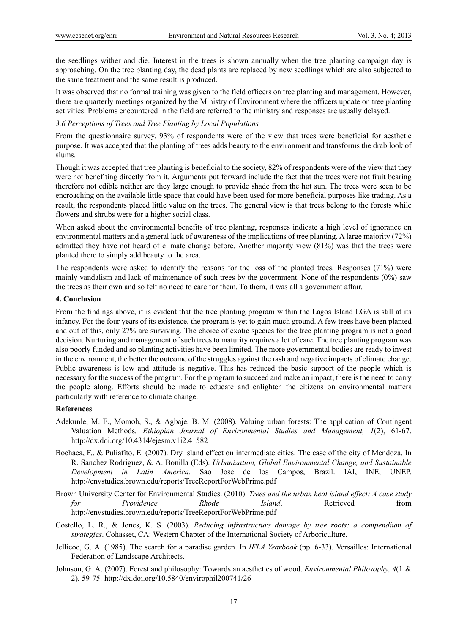the seedlings wither and die. Interest in the trees is shown annually when the tree planting campaign day is approaching. On the tree planting day, the dead plants are replaced by new seedlings which are also subjected to the same treatment and the same result is produced.

It was observed that no formal training was given to the field officers on tree planting and management. However, there are quarterly meetings organized by the Ministry of Environment where the officers update on tree planting activities. Problems encountered in the field are referred to the ministry and responses are usually delayed.

# *3.6 Perceptions of Trees and Tree Planting by Local Populations*

From the questionnaire survey, 93% of respondents were of the view that trees were beneficial for aesthetic purpose. It was accepted that the planting of trees adds beauty to the environment and transforms the drab look of slums.

Though it was accepted that tree planting is beneficial to the society, 82% of respondents were of the view that they were not benefiting directly from it. Arguments put forward include the fact that the trees were not fruit bearing therefore not edible neither are they large enough to provide shade from the hot sun. The trees were seen to be encroaching on the available little space that could have been used for more beneficial purposes like trading. As a result, the respondents placed little value on the trees. The general view is that trees belong to the forests while flowers and shrubs were for a higher social class.

When asked about the environmental benefits of tree planting, responses indicate a high level of ignorance on environmental matters and a general lack of awareness of the implications of tree planting. A large majority (72%) admitted they have not heard of climate change before. Another majority view (81%) was that the trees were planted there to simply add beauty to the area.

The respondents were asked to identify the reasons for the loss of the planted trees. Responses (71%) were mainly vandalism and lack of maintenance of such trees by the government. None of the respondents (0%) saw the trees as their own and so felt no need to care for them. To them, it was all a government affair.

#### **4. Conclusion**

From the findings above, it is evident that the tree planting program within the Lagos Island LGA is still at its infancy. For the four years of its existence, the program is yet to gain much ground. A few trees have been planted and out of this, only 27% are surviving. The choice of exotic species for the tree planting program is not a good decision. Nurturing and management of such trees to maturity requires a lot of care. The tree planting program was also poorly funded and so planting activities have been limited. The more governmental bodies are ready to invest in the environment, the better the outcome of the struggles against the rash and negative impacts of climate change. Public awareness is low and attitude is negative. This has reduced the basic support of the people which is necessary for the success of the program. For the program to succeed and make an impact, there is the need to carry the people along. Efforts should be made to educate and enlighten the citizens on environmental matters particularly with reference to climate change.

## **References**

- Adekunle, M. F., Momoh, S., & Agbaje, B. M. (2008). Valuing urban forests: The application of Contingent Valuation Methods*. Ethiopian Journal of Environmental Studies and Management, 1*(2), 61-67. http://dx.doi.org/10.4314/ejesm.v1i2.41582
- Bochaca, F., & Puliafito, E. (2007). Dry island effect on intermediate cities. The case of the city of Mendoza. In R. Sanchez Rodriguez, & A. Bonilla (Eds). *Urbanization, Global Environmental Change, and Sustainable Development in Latin America*. Sao Jose de los Campos, Brazil. IAI, INE, UNEP. http://envstudies.brown.edu/reports/TreeReportForWebPrime.pdf
- Brown University Center for Environmental Studies. (2010). *Trees and the urban heat island effect: A case study for Providence Rhode Island*. Retrieved from http://envstudies.brown.edu/reports/TreeReportForWebPrime.pdf
- Costello, L. R., & Jones, K. S. (2003). *Reducing infrastructure damage by tree roots: a compendium of strategies*. Cohasset, CA: Western Chapter of the International Society of Arboriculture.
- Jellicoe, G. A. (1985). The search for a paradise garden. In *IFLA Yearbook* (pp. 6-33). Versailles: International Federation of Landscape Architects.
- Johnson, G. A. (2007). Forest and philosophy: Towards an aesthetics of wood. *Environmental Philosophy, 4*(1 & 2), 59-75. http://dx.doi.org/10.5840/envirophil200741/26